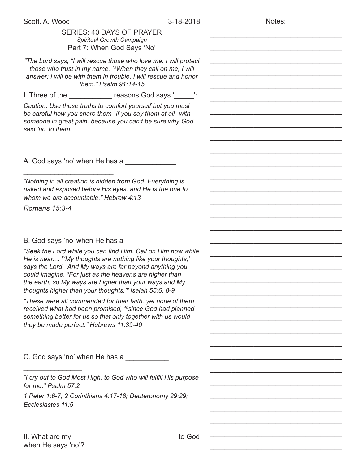| Scott. A. Wood                                                                                                                   | 3-18-2018 | Notes: |
|----------------------------------------------------------------------------------------------------------------------------------|-----------|--------|
| SERIES: 40 DAYS OF PRAYER                                                                                                        |           |        |
| Spiritual Growth Campaign                                                                                                        |           |        |
| Part 7: When God Says 'No'                                                                                                       |           |        |
| "The Lord says, "I will rescue those who love me. I will protect                                                                 |           |        |
| those who trust in my name. <sup>15</sup> When they call on me, I will                                                           |           |        |
| answer; I will be with them in trouble. I will rescue and honor                                                                  |           |        |
| them." Psalm 91:14-15                                                                                                            |           |        |
| I. Three of the ______________ reasons God says '_____':                                                                         |           |        |
| Caution: Use these truths to comfort yourself but you must                                                                       |           |        |
| be careful how you share them--if you say them at all--with                                                                      |           |        |
| someone in great pain, because you can't be sure why God                                                                         |           |        |
| said 'no' to them.                                                                                                               |           |        |
|                                                                                                                                  |           |        |
|                                                                                                                                  |           |        |
|                                                                                                                                  |           |        |
| A. God says 'no' when He has a                                                                                                   |           |        |
|                                                                                                                                  |           |        |
| "Nothing in all creation is hidden from God. Everything is                                                                       |           |        |
| naked and exposed before His eyes, and He is the one to                                                                          |           |        |
| whom we are accountable." Hebrew 4:13                                                                                            |           |        |
| Romans 15:3-4                                                                                                                    |           |        |
|                                                                                                                                  |           |        |
|                                                                                                                                  |           |        |
|                                                                                                                                  |           |        |
|                                                                                                                                  |           |        |
| "Seek the Lord while you can find Him. Call on Him now while                                                                     |           |        |
| He is near <sup>8</sup> 'My thoughts are nothing like your thoughts,'<br>says the Lord. 'And My ways are far beyond anything you |           |        |
| could imagine. <sup>9</sup> For just as the heavens are higher than                                                              |           |        |
| the earth, so My ways are higher than your ways and My                                                                           |           |        |
| thoughts higher than your thoughts." Isaiah 55:6, 8-9                                                                            |           |        |
| "These were all commended for their faith, yet none of them                                                                      |           |        |
| received what had been promised, <sup>40</sup> since God had planned                                                             |           |        |
| something better for us so that only together with us would                                                                      |           |        |
| they be made perfect." Hebrews 11:39-40                                                                                          |           |        |
|                                                                                                                                  |           |        |
|                                                                                                                                  |           |        |
| C. God says 'no' when He has a                                                                                                   |           |        |
|                                                                                                                                  |           |        |
| "I cry out to God Most High, to God who will fulfill His purpose                                                                 |           |        |
| for me." Psalm 57:2                                                                                                              |           |        |
| 1 Peter 1:6-7; 2 Corinthians 4:17-18; Deuteronomy 29:29;                                                                         |           |        |
| Ecclesiastes 11:5                                                                                                                |           |        |
|                                                                                                                                  |           |        |
|                                                                                                                                  |           |        |
|                                                                                                                                  |           |        |
| II. What are my                                                                                                                  | to God    |        |

\_\_\_\_\_\_\_\_\_\_\_\_\_\_\_\_\_\_\_\_\_\_\_\_\_\_\_\_\_\_\_\_\_\_\_\_

when He says 'no'?